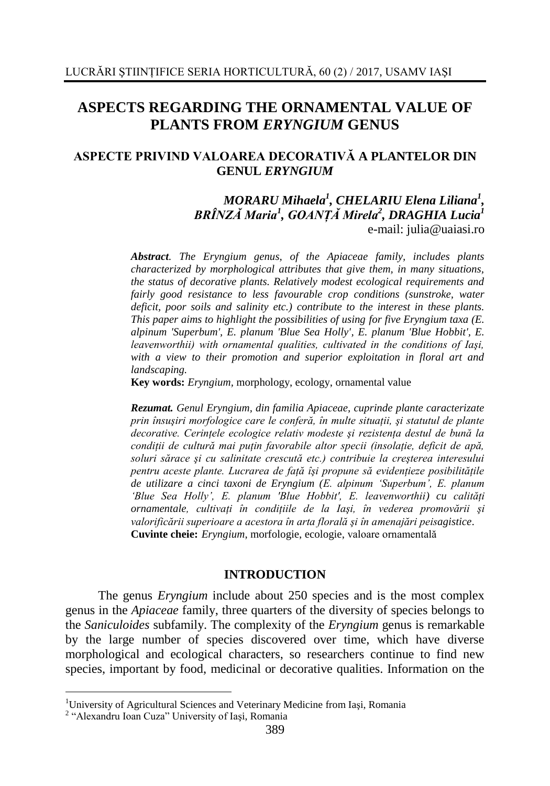# **ASPECTS REGARDING THE ORNAMENTAL VALUE OF PLANTS FROM** *ERYNGIUM* **GENUS**

## **ASPECTE PRIVIND VALOAREA DECORATIVĂ A PLANTELOR DIN GENUL** *ERYNGIUM*

#### *MORARU Mihaela<sup>1</sup> , CHELARIU Elena Liliana<sup>1</sup> , BRÎNZĂ Maria<sup>1</sup> , GOANŢĂ Mirela<sup>2</sup> , DRAGHIA Lucia<sup>1</sup>* e-mail: julia@uaiasi.ro

*Abstract. The Eryngium genus, of the Apiaceae family, includes plants characterized by morphological attributes that give them, in many situations, the status of decorative plants. Relatively modest ecological requirements and fairly good resistance to less favourable crop conditions (sunstroke, water deficit, poor soils and salinity etc.) contribute to the interest in these plants. This paper aims to highlight the possibilities of using for five Eryngium taxa (E. alpinum 'Superbum', E. planum 'Blue Sea Holly', E. planum 'Blue Hobbit', E. leavenworthii) with ornamental qualities, cultivated in the conditions of Iaşi, with a view to their promotion and superior exploitation in floral art and landscaping.*

**Key words:** *Eryngium,* morphology, ecology, ornamental value

*Rezumat. Genul Eryngium, din familia Apiaceae, cuprinde plante caracterizate prin însuşiri morfologice care le conferă, în multe situaţii, şi statutul de plante decorative. Cerinţele ecologice relativ modeste şi rezistenţa destul de bună la condiţii de cultură mai puţin favorabile altor specii (insolaţie, deficit de apă, soluri sărace şi cu salinitate crescută etc.) contribuie la creşterea interesului pentru aceste plante. Lucrarea de faţă îşi propune să evidenţieze posibilităţile de utilizare a cinci taxoni de Eryngium (E. alpinum 'Superbum', E. planum 'Blue Sea Holly', E. planum 'Blue Hobbit', E. leavenworthii) cu calităţi ornamentale, cultivaţi în condiţiile de la Iaşi, în vederea promovării şi valorificării superioare a acestora în arta florală şi în amenajări peisagistice*. **Cuvinte cheie:** *Eryngium*, morfologie, ecologie, valoare ornamentală

#### **INTRODUCTION**

The genus *Eryngium* include about 250 species and is the most complex genus in the *Apiaceae* family, three quarters of the diversity of species belongs to the *Saniculoides* subfamily. The complexity of the *Eryngium* genus is remarkable by the large number of species discovered over time, which have diverse morphological and ecological characters, so researchers continue to find new species, important by food, medicinal or decorative qualities. Information on the

<u>.</u>

<sup>&</sup>lt;sup>1</sup>University of Agricultural Sciences and Veterinary Medicine from Iași, Romania

<sup>2</sup> "Alexandru Ioan Cuza" University of Iaşi, Romania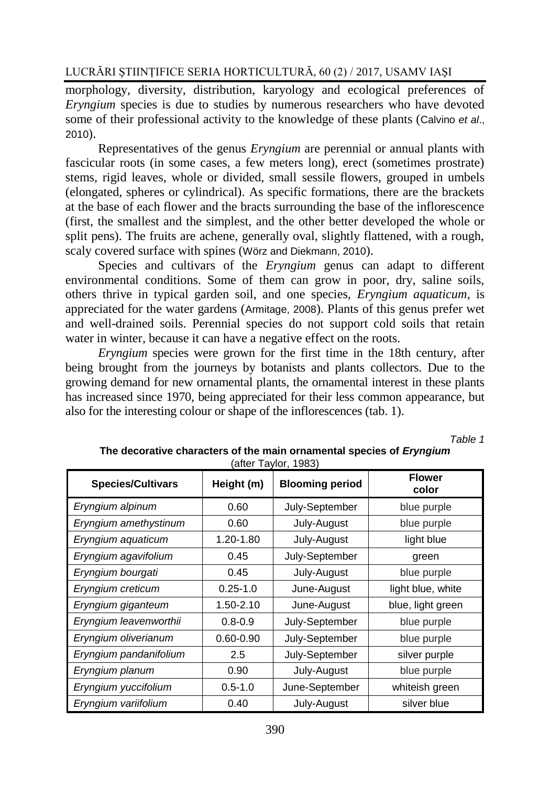## LUCRĂRI ŞTIINŢIFICE SERIA HORTICULTURĂ, 60 (2) / 2017, USAMV IAŞI

morphology, diversity, distribution, karyology and ecological preferences of *Eryngium* species is due to studies by numerous researchers who have devoted some of their professional activity to the knowledge of these plants (Calvino *et al*., 2010).

Representatives of the genus *Eryngium* are perennial or annual plants with fascicular roots (in some cases, a few meters long), erect (sometimes prostrate) stems, rigid leaves, whole or divided, small sessile flowers, grouped in umbels (elongated, spheres or cylindrical). As specific formations, there are the brackets at the base of each flower and the bracts surrounding the base of the inflorescence (first, the smallest and the simplest, and the other better developed the whole or split pens). The fruits are achene, generally oval, slightly flattened, with a rough, scaly covered surface with spines (Wörz and Diekmann, 2010).

Species and cultivars of the *Eryngium* genus can adapt to different environmental conditions. Some of them can grow in poor, dry, saline soils, others thrive in typical garden soil, and one species, *Eryngium aquaticum*, is appreciated for the water gardens (Armitage, 2008). Plants of this genus prefer wet and well-drained soils. Perennial species do not support cold soils that retain water in winter, because it can have a negative effect on the roots.

*Eryngium* species were grown for the first time in the 18th century, after being brought from the journeys by botanists and plants collectors. Due to the growing demand for new ornamental plants, the ornamental interest in these plants has increased since 1970, being appreciated for their less common appearance, but also for the interesting colour or shape of the inflorescences (tab. 1).

*Table 1*

| <b>Species/Cultivars</b> | Height (m)    | <b>Blooming period</b> | <b>Flower</b><br>color |
|--------------------------|---------------|------------------------|------------------------|
| Eryngium alpinum         | 0.60          | July-September         | blue purple            |
| Eryngium amethystinum    | 0.60          | July-August            | blue purple            |
| Eryngium aquaticum       | 1.20-1.80     | July-August            | light blue             |
| Eryngium agavifolium     | 0.45          | July-September         | green                  |
| Eryngium bourgati        | 0.45          | July-August            | blue purple            |
| Eryngium creticum        | $0.25 - 1.0$  | June-August            | light blue, white      |
| Eryngium giganteum       | 1.50-2.10     | June-August            | blue, light green      |
| Eryngium leavenworthii   | $0.8 - 0.9$   | July-September         | blue purple            |
| Eryngium oliverianum     | $0.60 - 0.90$ | July-September         | blue purple            |
| Eryngium pandanifolium   | 2.5           | July-September         | silver purple          |
| Eryngium planum          | 0.90          | July-August            | blue purple            |
| Eryngium yuccifolium     | $0.5 - 1.0$   | June-September         | whiteish green         |
| Eryngium variifolium     | 0.40          | July-August            | silver blue            |

**The decorative characters of the main ornamental species of** *Eryngium* (after Taylor, 1983)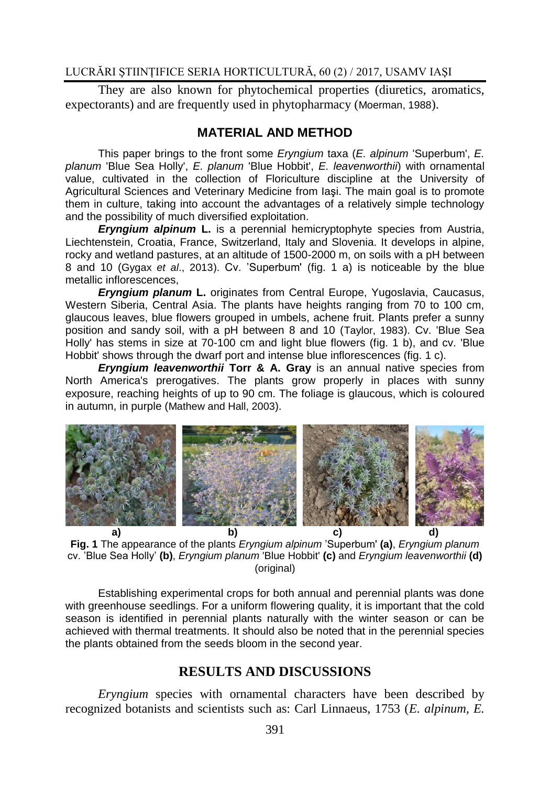## LUCRĂRI ŞTIINŢIFICE SERIA HORTICULTURĂ, 60 (2) / 2017, USAMV IAŞI

They are also known for phytochemical properties (diuretics, aromatics, expectorants) and are frequently used in phytopharmacy (Moerman, 1988).

#### **MATERIAL AND METHOD**

This paper brings to the front some *Eryngium* taxa (*E. alpinum* 'Superbum', *E. planum* 'Blue Sea Holly', *E. planum* 'Blue Hobbit', *E. leavenworthii*) with ornamental value, cultivated in the collection of Floriculture discipline at the University of Agricultural Sciences and Veterinary Medicine from Iaşi. The main goal is to promote them in culture, taking into account the advantages of a relatively simple technology and the possibility of much diversified exploitation.

*Eryngium alpinum* **L.** is a perennial hemicryptophyte species from Austria, Liechtenstein, Croatia, France, Switzerland, Italy and Slovenia. It develops in alpine, rocky and wetland pastures, at an altitude of 1500-2000 m, on soils with a pH between 8 and 10 (Gygax *et al*., 2013). Cv. 'Superbum' (fig. 1 a) is noticeable by the blue metallic inflorescences,

*Eryngium planum* **L.** originates from Central Europe, Yugoslavia, Caucasus, Western Siberia, Central Asia. The plants have heights ranging from 70 to 100 cm, glaucous leaves, blue flowers grouped in umbels, achene fruit. Plants prefer a sunny position and sandy soil, with a pH between 8 and 10 (Taylor, 1983). Cv. 'Blue Sea Holly' has stems in size at 70-100 cm and light blue flowers (fig. 1 b), and cv. 'Blue Hobbit' shows through the dwarf port and intense blue inflorescences (fig. 1 c).

*Eryngium leavenworthii* **Torr & A. Gray** is an annual native species from North America's prerogatives. The plants grow properly in places with sunny exposure, reaching heights of up to 90 cm. The foliage is glaucous, which is coloured in autumn, in purple (Mathew and Hall, 2003).



**Fig. 1** The appearance of the plants *Eryngium alpinum* 'Superbum' **(a)**, *Eryngium planum* cv. 'Blue Sea Holly' **(b)**, *Eryngium planum* 'Blue Hobbit' **(c)** and *Eryngium leavenworthii* **(d)** (original)

Establishing experimental crops for both annual and perennial plants was done with greenhouse seedlings. For a uniform flowering quality, it is important that the cold season is identified in perennial plants naturally with the winter season or can be achieved with thermal treatments. It should also be noted that in the perennial species the plants obtained from the seeds bloom in the second year.

## **RESULTS AND DISCUSSIONS**

*Eryngium* species with ornamental characters have been described by recognized botanists and scientists such as: Carl Linnaeus, 1753 (*E. alpinum, E.*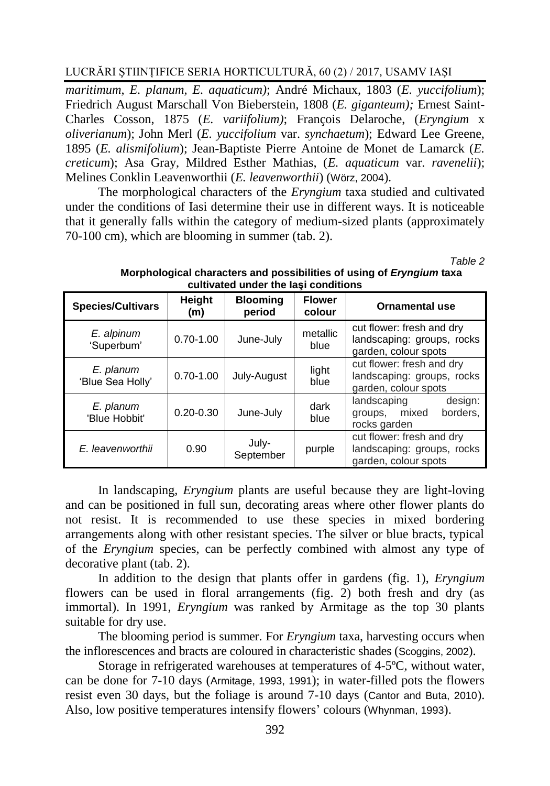LUCRĂRI ŞTIINŢIFICE SERIA HORTICULTURĂ, 60 (2) / 2017, USAMV IAŞI

*maritimum*, *E. planum, E. aquaticum)*; André Michaux, 1803 (*E. yuccifolium*); Friedrich August Marschall Von Bieberstein, 1808 (*E. giganteum);* Ernest Saint-Charles Cosson, 1875 (*E. variifolium)*; François Delaroche, (*Eryngium* x *oliverianum*); John Merl (*E. yuccifolium* var. *synchaetum*); Edward Lee Greene, 1895 (*E. alismifolium*); Jean-Baptiste Pierre Antoine de Monet de Lamarck (*E. creticum*); Asa Gray, Mildred Esther Mathias, (*E. aquaticum* var. *ravenelii*); Melines Conklin Leavenworthii (*E. leavenworthii*) (Wörz, 2004).

The morphological characters of the *Eryngium* taxa studied and cultivated under the conditions of Iasi determine their use in different ways. It is noticeable that it generally falls within the category of medium-sized plants (approximately 70-100 cm), which are blooming in summer (tab. 2).

*Table 2*

| <b>Species/Cultivars</b>      | Height<br>(m) | <b>Blooming</b><br>period | <b>Flower</b><br>colour | <b>Ornamental use</b>                                                           |
|-------------------------------|---------------|---------------------------|-------------------------|---------------------------------------------------------------------------------|
| E. alpinum<br>'Superbum'      | $0.70 - 1.00$ | June-July                 | metallic<br>blue        | cut flower: fresh and dry<br>landscaping: groups, rocks<br>garden, colour spots |
| E. planum<br>'Blue Sea Holly' | $0.70 - 1.00$ | July-August               | light<br>blue           | cut flower: fresh and dry<br>landscaping: groups, rocks<br>garden, colour spots |
| E. planum<br>'Blue Hobbit'    | $0.20 - 0.30$ | June-July                 | dark<br>blue            | landscaping<br>design:<br>groups, mixed<br>borders.<br>rocks garden             |
| E. leavenworthii              | 0.90          | July-<br>September        | purple                  | cut flower: fresh and dry<br>landscaping: groups, rocks<br>garden, colour spots |

#### **Morphological characters and possibilities of using of** *Eryngium* **taxa cultivated under the Iaşi conditions**

In landscaping, *Eryngium* plants are useful because they are light-loving and can be positioned in full sun, decorating areas where other flower plants do not resist. It is recommended to use these species in mixed bordering arrangements along with other resistant species. The silver or blue bracts, typical of the *Eryngium* species, can be perfectly combined with almost any type of decorative plant (tab. 2).

In addition to the design that plants offer in gardens (fig. 1), *Eryngium* flowers can be used in floral arrangements (fig. 2) both fresh and dry (as immortal). In 1991, *Eryngium* was ranked by Armitage as the top 30 plants suitable for dry use.

The blooming period is summer. For *Eryngium* taxa, harvesting occurs when the inflorescences and bracts are coloured in characteristic shades (Scoggins, 2002).

Storage in refrigerated warehouses at temperatures of 4-5ºC, without water, can be done for 7-10 days (Armitage, 1993, 1991); in water-filled pots the flowers resist even 30 days, but the foliage is around 7-10 days (Cantor and Buta, 2010). Also, low positive temperatures intensify flowers' colours (Whynman, 1993).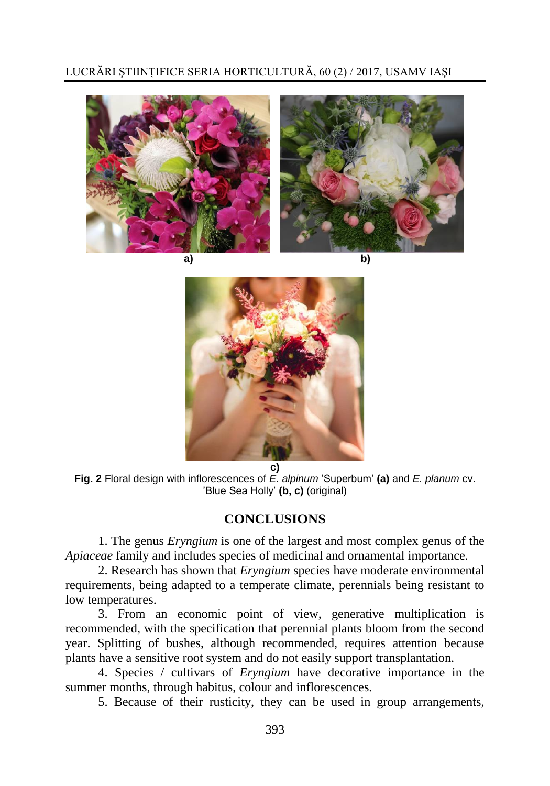



**Fig. 2** Floral design with inflorescences of *E. alpinum* 'Superbum' **(a)** and *E. planum* cv. 'Blue Sea Holly' **(b, c)** (original)

# **CONCLUSIONS**

1. The genus *Eryngium* is one of the largest and most complex genus of the *Apiaceae* family and includes species of medicinal and ornamental importance.

2. Research has shown that *Eryngium* species have moderate environmental requirements, being adapted to a temperate climate, perennials being resistant to low temperatures.

3. From an economic point of view, generative multiplication is recommended, with the specification that perennial plants bloom from the second year. Splitting of bushes, although recommended, requires attention because plants have a sensitive root system and do not easily support transplantation.

4. Species / cultivars of *Eryngium* have decorative importance in the summer months, through habitus, colour and inflorescences.

5. Because of their rusticity, they can be used in group arrangements,